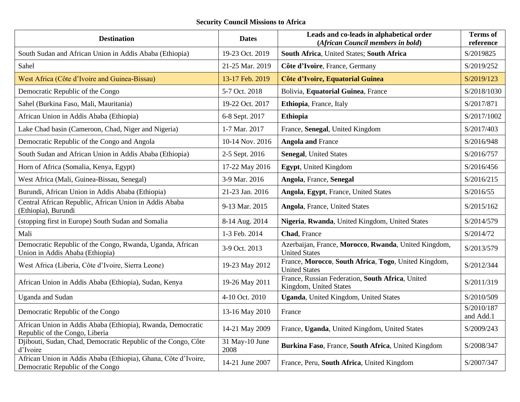## **Security Council Missions to Africa**

| <b>Destination</b>                                                                                 | <b>Dates</b>           | Leads and co-leads in alphabetical order<br>(African Council members in bold) | <b>Terms</b> of<br>reference |
|----------------------------------------------------------------------------------------------------|------------------------|-------------------------------------------------------------------------------|------------------------------|
| South Sudan and African Union in Addis Ababa (Ethiopia)                                            | 19-23 Oct. 2019        | South Africa, United States; South Africa                                     | S/2019825                    |
| Sahel                                                                                              | 21-25 Mar. 2019        | Côte d'Ivoire, France, Germany                                                | S/2019/252                   |
| West Africa (Côte d'Ivoire and Guinea-Bissau)                                                      | 13-17 Feb. 2019        | Côte d'Ivoire, Equatorial Guinea                                              | S/2019/123                   |
| Democratic Republic of the Congo                                                                   | 5-7 Oct. 2018          | Bolivia, Equatorial Guinea, France                                            | S/2018/1030                  |
| Sahel (Burkina Faso, Mali, Mauritania)                                                             | 19-22 Oct. 2017        | Ethiopia, France, Italy                                                       | S/2017/871                   |
| African Union in Addis Ababa (Ethiopia)                                                            | 6-8 Sept. 2017         | <b>Ethiopia</b>                                                               | S/2017/1002                  |
| Lake Chad basin (Cameroon, Chad, Niger and Nigeria)                                                | 1-7 Mar. 2017          | France, Senegal, United Kingdom                                               | S/2017/403                   |
| Democratic Republic of the Congo and Angola                                                        | 10-14 Nov. 2016        | <b>Angola and France</b>                                                      | S/2016/948                   |
| South Sudan and African Union in Addis Ababa (Ethiopia)                                            | 2-5 Sept. 2016         | <b>Senegal, United States</b>                                                 | S/2016/757                   |
| Horn of Africa (Somalia, Kenya, Egypt)                                                             | 17-22 May 2016         | Egypt, United Kingdom                                                         | S/2016/456                   |
| West Africa (Mali, Guinea-Bissau, Senegal)                                                         | 3-9 Mar. 2016          | Angola, France, Senegal                                                       | S/2016/215                   |
| Burundi, African Union in Addis Ababa (Ethiopia)                                                   | 21-23 Jan. 2016        | Angola, Egypt, France, United States                                          | S/2016/55                    |
| Central African Republic, African Union in Addis Ababa<br>(Ethiopia), Burundi                      | 9-13 Mar. 2015         | <b>Angola</b> , France, United States                                         | S/2015/162                   |
| (stopping first in Europe) South Sudan and Somalia                                                 | 8-14 Aug. 2014         | Nigeria, Rwanda, United Kingdom, United States                                | S/2014/579                   |
| Mali                                                                                               | 1-3 Feb. 2014          | Chad, France                                                                  | S/2014/72                    |
| Democratic Republic of the Congo, Rwanda, Uganda, African<br>Union in Addis Ababa (Ethiopia)       | 3-9 Oct. 2013          | Azerbaijan, France, Morocco, Rwanda, United Kingdom,<br><b>United States</b>  | S/2013/579                   |
| West Africa (Liberia, Côte d'Ivoire, Sierra Leone)                                                 | 19-23 May 2012         | France, Morocco, South Africa, Togo, United Kingdom,<br><b>United States</b>  | S/2012/344                   |
| African Union in Addis Ababa (Ethiopia), Sudan, Kenya                                              | 19-26 May 2011         | France, Russian Federation, South Africa, United<br>Kingdom, United States    | S/2011/319                   |
| <b>Uganda</b> and Sudan                                                                            | 4-10 Oct. 2010         | Uganda, United Kingdom, United States                                         | S/2010/509                   |
| Democratic Republic of the Congo                                                                   | 13-16 May 2010         | France                                                                        | S/2010/187<br>and Add.1      |
| African Union in Addis Ababa (Ethiopia), Rwanda, Democratic<br>Republic of the Congo, Liberia      | 14-21 May 2009         | France, Uganda, United Kingdom, United States                                 | S/2009/243                   |
| Djibouti, Sudan, Chad, Democratic Republic of the Congo, Côte<br>d'Ivoire                          | 31 May-10 June<br>2008 | Burkina Faso, France, South Africa, United Kingdom                            | S/2008/347                   |
| African Union in Addis Ababa (Ethiopia), Ghana, Côte d'Ivoire,<br>Democratic Republic of the Congo | 14-21 June 2007        | France, Peru, South Africa, United Kingdom                                    | S/2007/347                   |